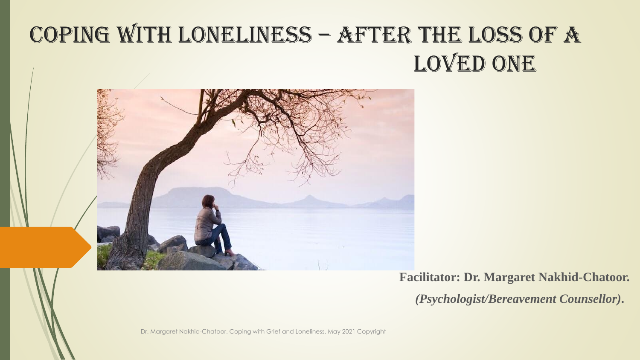# Coping with LONELINESS – AFTER the LoSS of a LOVED ONE



**Facilitator: Dr. Margaret Nakhid-Chatoor.**

*(Psychologist/Bereavement Counsellor)***.**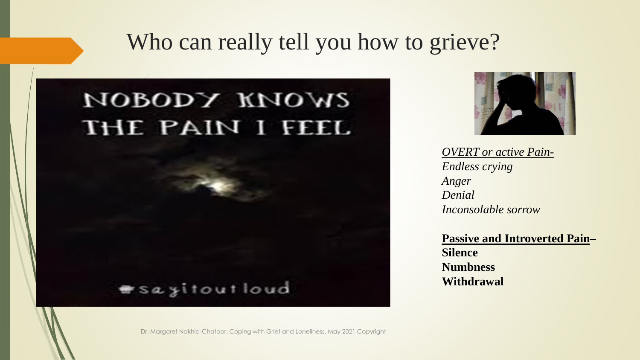#### Who can really tell you how to grieve?

### иоворх киомг THE PAIN I FEEL

#### **\*sayitoutloud**



*OVERT or active Pain-Endless crying Anger Denial Inconsolable sorrow*

**Passive and Introverted Pain– Silence Numbness Withdrawal**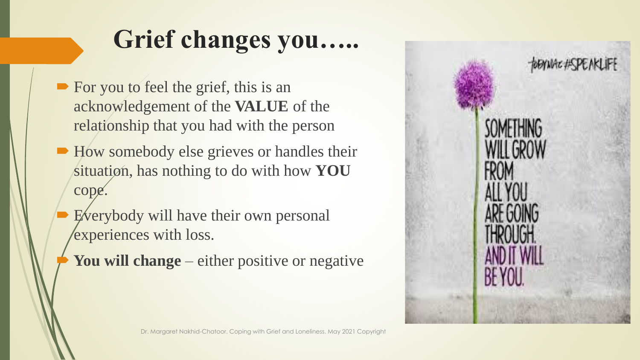# **Grief changes you…..**

- For you to feel the grief, this is an acknowledgement of the **VALUE** of the relationship that you had with the person
- How somebody else grieves or handles their situation, has nothing to do with how **YOU**  cope.
	- Everybody will have their own personal experiences with loss.
	- You will change either positive or negative

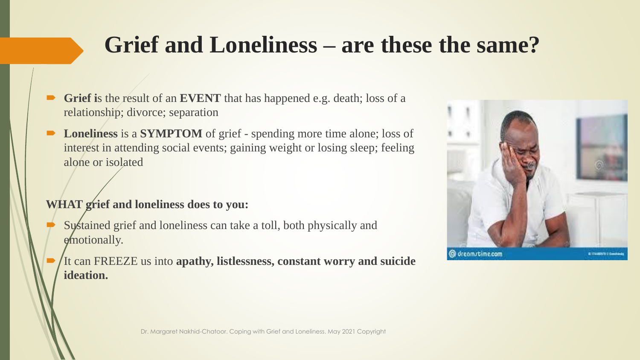# **Grief and Loneliness – are these the same?**

- **Grief is the result of an <b>EVENT** that has happened e.g. death; loss of a relationship; divorce; separation
- **Loneliness** is a **SYMPTOM** of grief spending more time alone; loss of interest in attending social events; gaining weight or losing sleep; feeling alone or isolated

#### **WHAT grief and loneliness does to you:**

- Sustained grief and loneliness can take a toll, both physically and emotionally.
- It can FREEZE us into **apathy, listlessness, constant worry and suicide ideation.**

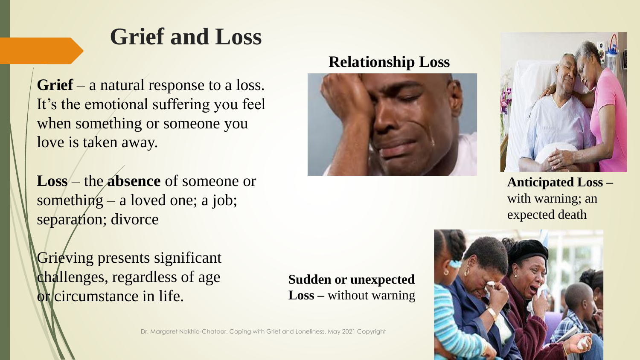### **Grief and Loss**

**Grief** – a natural response to a loss. It's the emotional suffering you feel when something or someone you love is taken away.

**Loss** – the **absence** of someone or something  $-$  a loved one; a job; separation; divorce

Grieving presents significant challenges, regardless of age or circumstance in life.

**Sudden or unexpected Loss –** without warning



**Relationship Loss**





**Anticipated Loss –** with warning; an expected death

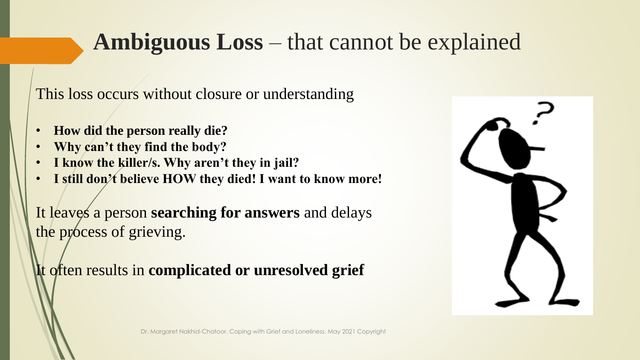# **Ambiguous Loss** – that cannot be explained

This loss occurs without closure or understanding

- **How did the person really die?**
- **Why can't they find the body?**
- **I know the killer/s. Why aren't they in jail?**
- **I still don't believe HOW they died! I want to know more!**

It leaves a person **searching for answers** and delays the process of grieving.

It often results in **complicated or unresolved grief**

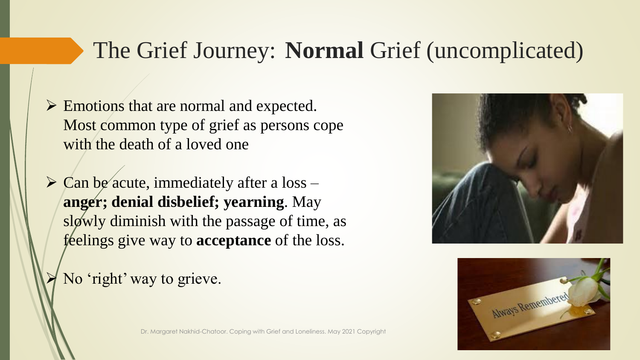# The Grief Journey: **Normal** Grief (uncomplicated)

- ➢ Emotions that are normal and expected. Most common type of grief as persons cope with the death of a loved one
- $\triangleright$  Can be acute, immediately after a loss **anger; denial disbelief; yearning**. May slowly diminish with the passage of time, as feelings give way to **acceptance** of the loss.

No 'right' way to grieve.



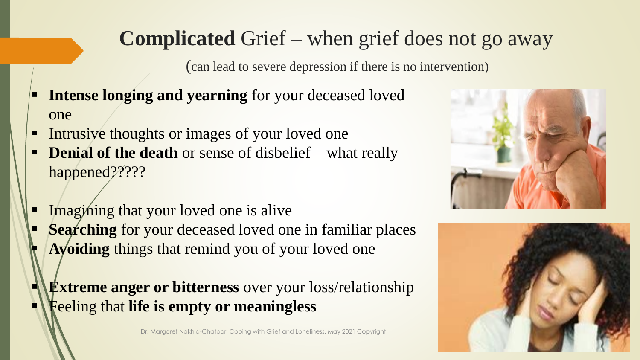### **Complicated** Grief – when grief does not go away

(can lead to severe depression if there is no intervention)

- **Intense longing and yearning** for your deceased loved one
- Intrusive thoughts or images of your loved one
- **Denial of the death** or sense of disbelief what really happened?????
- Imagining that your loved one is alive
- **Searching** for your deceased loved one in familiar places **Avoiding** things that remind you of your loved one
- **Extreme anger or bitterness** over your loss/relationship ▪ Feeling that **life is empty or meaningless**



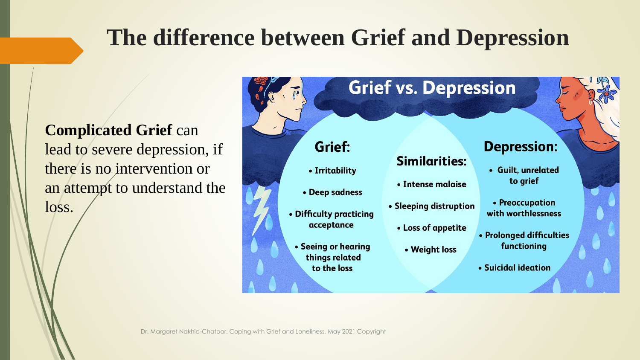# **The difference between Grief and Depression**

**Complicated Grief can** lead to severe depression, if there is no intervention or an attempt to understand the loss.

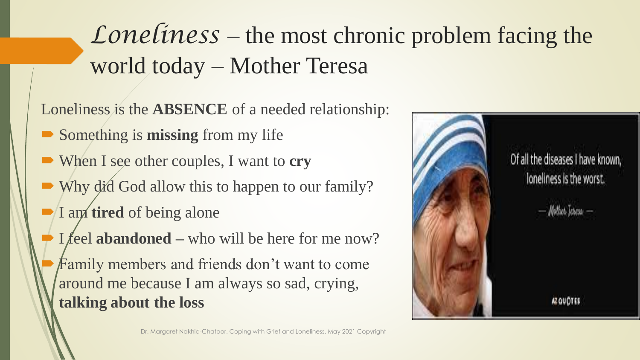# *Loneliness* – the most chronic problem facing the world today – Mother Teresa

Loneliness is the **ABSENCE** of a needed relationship:

- Something is **missing** from my life
- When I see other couples, I want to **cry**
- Why did God allow this to happen to our family?
- I am **tired** of being alone
- I feel **abandoned** who will be here for me now?
- Family members and friends don't want to come around me because I am always so sad, crying, **talking about the loss**

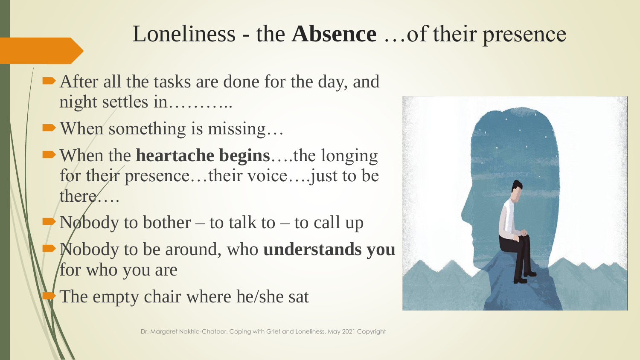# Loneliness - the **Absence** …of their presence

- After all the tasks are done for the day, and night settles in………..
- When something is missing...
- When the **heartache begins**….the longing for their presence…their voice….just to be there….
- $N\phi$  Nobody to bother to talk to to call up
- Nobody to be around, who **understands you**  for who you are
- The empty chair where he/she sat

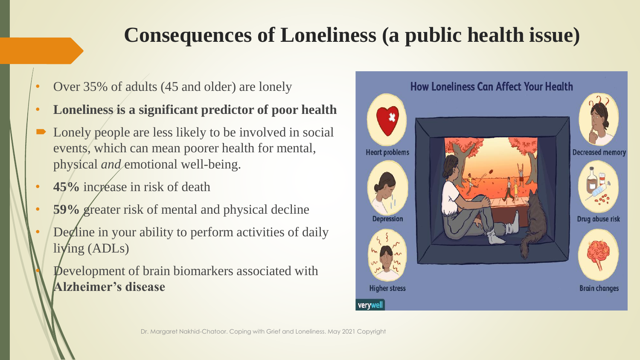### **Consequences of Loneliness (a public health issue)**

- Over 35% of adults (45 and older) are lonely
- **Loneliness is a significant predictor of poor health**
- Lonely people are less likely to be involved in social events, which can mean poorer health for mental, physical *and* emotional well-being.
- **45%** incréase in risk of death
- **59%** greater risk of mental and physical decline
- Decline in your ability to perform activities of daily living (ADLs)
	- **P**evelopment of brain biomarkers associated with **Alzheimer's disease**

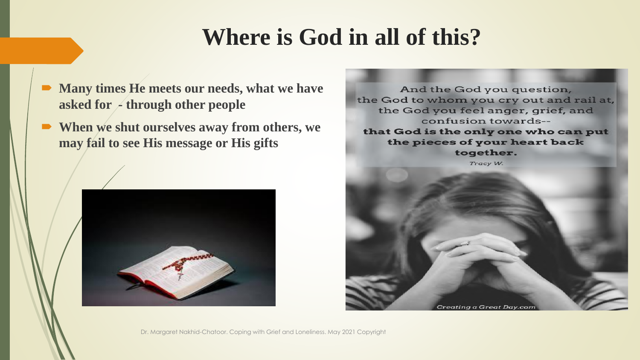# **Where is God in all of this?**

- **Many times He meets our needs, what we have asked for - through other people**
- **When we shut ourselves away from others, we may fail to see His message or His gifts**



And the God you question, the God to whom you cry out and rail at, the God you feel anger, grief, and confusion towards-that God is the only one who can put the pieces of your heart back together. Tracy W.

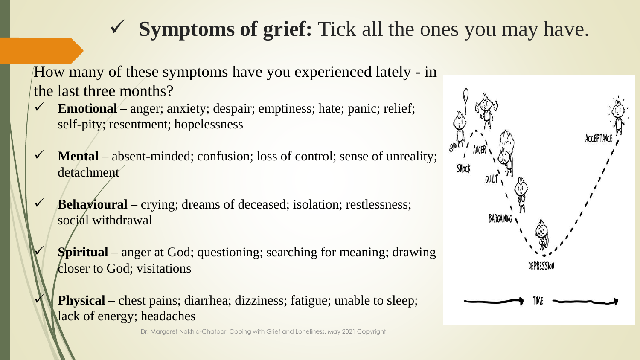### ✓ **Symptoms of grief:** Tick all the ones you may have.

How many of these symptoms have you experienced lately - in the last three months?

- **Emotional** anger; anxiety; despair; emptiness; hate; panic; relief; self-pity; resentment; hopelessness
- **Mental** absent-minded; confusion; loss of control; sense of unreality; detachment
- ✓ **Behavioural** crying; dreams of deceased; isolation; restlessness; social withdrawal
	- **Spiritual** anger at God; questioning; searching for meaning; drawing closer to God; visitations

**Physical** – chest pains; diarrhea; dizziness; fatigue; unable to sleep; lack of energy; headaches

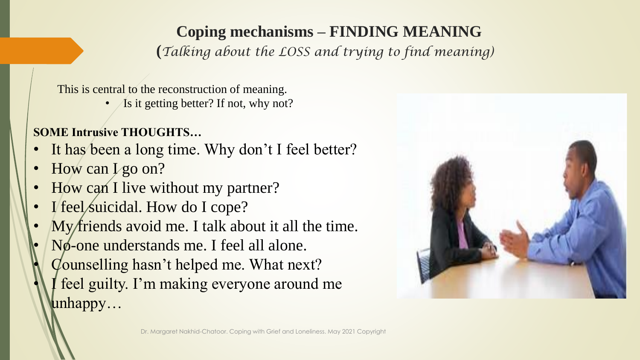# **Coping mechanisms – FINDING MEANING**

**(***Talking about the LOSS and trying to find meaning)*

This is central to the reconstruction of meaning.

**Is it getting better?** If not, why not?

#### **SOME Intrusive THOUGHTS…**

- It has been a long time. Why don't I feel better?
- How can I go on?
- How can I live without my partner?
- I feel suicidal. How do I cope?
- My friends avoid me. I talk about it all the time.
- No-one understands me. I feel all alone.
- Counselling hasn't helped me. What next?
- I feel guilty. I'm making everyone around me unhappy…

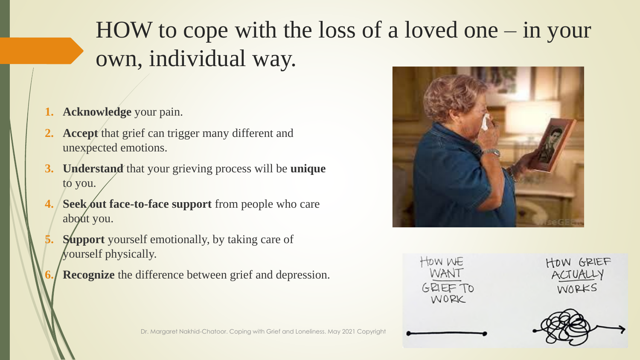# HOW to cope with the loss of a loved one – in your own, individual way.

- **1. Acknowledge** your pain.
- **2. Accept** that grief can trigger many different and unexpected emotions.
- **3. Understand** that your grieving process will be **unique**  to you.
- **4. Seek out face-to-face support** from people who care about you.
- **Support** yourself emotionally, by taking care of yourself physically.
- **Recognize** the difference between grief and depression.



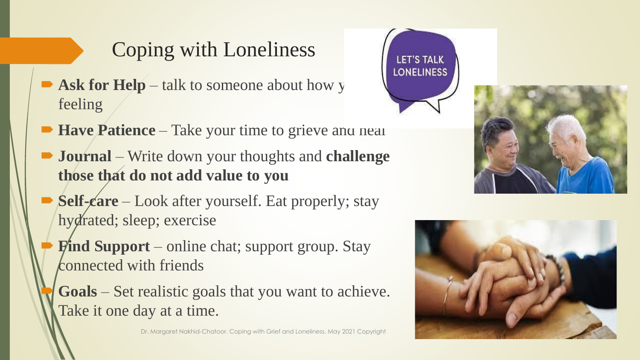# Coping with Loneliness

- $\blacktriangleright$  **Ask for Help** talk to someone about how y feeling
- **Have Patience** Take your time to grieve and neal
- **Journal** Write down your thoughts and **challenge those that do not add value to you**
- **Self-care** Look after yourself. Eat properly; stay hydrated; sleep; exercise
	- **Find Support** online chat; support group. Stay connected with friends
	- **Goals** Set realistic goals that you want to achieve. Take it one day at a time.







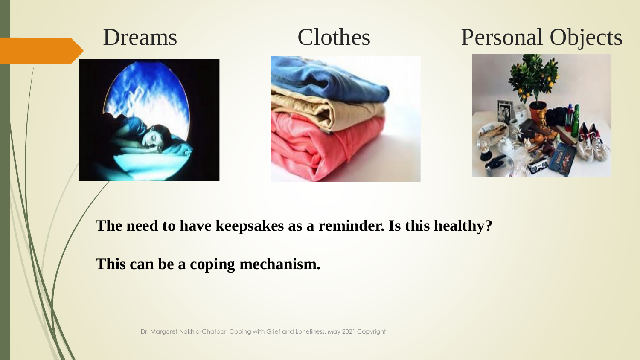







#### Dreams Clothes Personal Objects



#### **The need to have keepsakes as a reminder. Is this healthy?**

#### **This can be a coping mechanism.**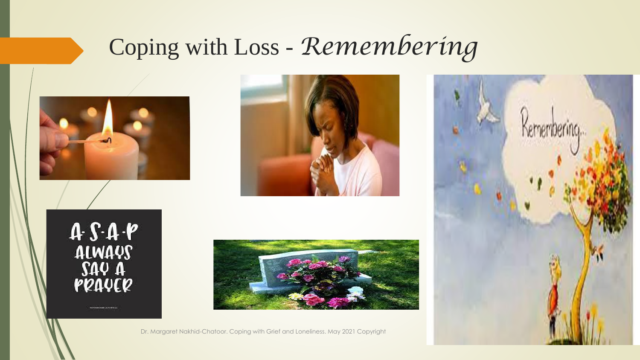# Coping with Loss - *Remembering*

 $A \cdot S \cdot A \cdot P$ <br>ALWAYS<br>SAY A<br>PRAYER





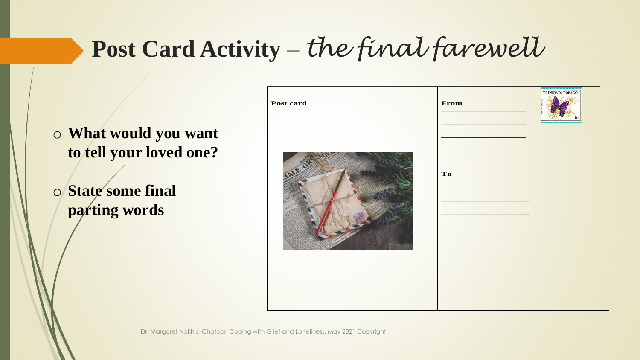# **Post Card Activity** – *the final farewell*

o **What would you want to tell your loved one?**

o **State some final parting words**